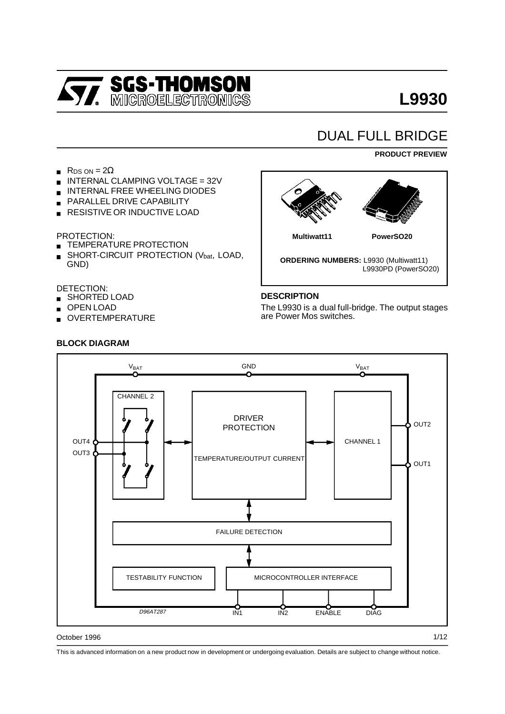

# DUAL FULL BRIDGE

#### **PRODUCT PREVIEW**

- R<sub>DS</sub>  $ON = 2\Omega$
- INTERNAL CLAMPING VOLTAGE = 32V
- INTERNAL FREE WHEELING DIODES
- **PARALLEL DRIVE CAPABILITY**
- **RESISTIVE OR INDUCTIVE LOAD**

#### PROTECTION:

- **EXTEMPERATURE PROTECTION**
- SHORT-CIRCUIT PROTECTION (Vbat, LOAD, GND)

#### DETECTION:

- **SHORTED LOAD**
- OPEN LOAD
- OVERTEMPERATURE



#### **DESCRIPTION**

The L9930 is a dual full-bridge. The output stages are Power Mos switches.



# **BLOCK DIAGRAM**

This is advanced information on a new product now in development or undergoing evaluation. Details are subject to change without notice.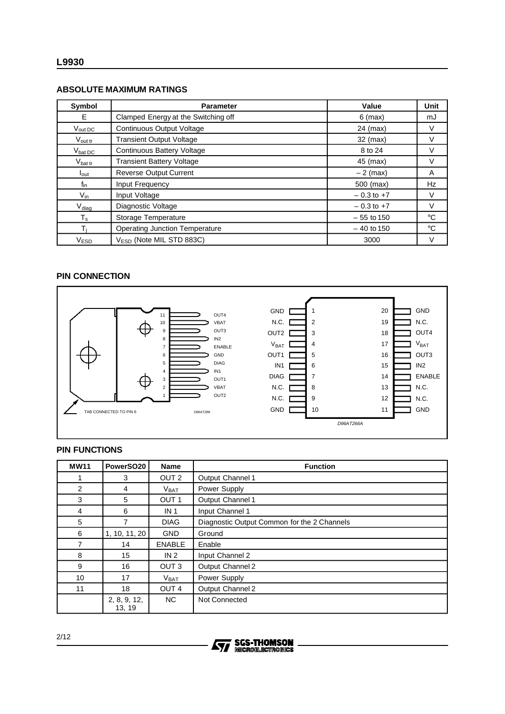#### **ABSOLUTE MAXIMUM RATINGS**

| Symbol              | <b>Parameter</b>                      | Value          | Unit         |
|---------------------|---------------------------------------|----------------|--------------|
| E.                  | Clamped Energy at the Switching off   | $6$ (max)      | mJ           |
| Vout DC             | <b>Continuous Output Voltage</b>      | $24$ (max)     | V            |
| $V_{\text{out tr}}$ | <b>Transient Output Voltage</b>       | 32 (max)       | V            |
| $V_{\text{bat DC}}$ | <b>Continuous Battery Voltage</b>     | 8 to 24        | V            |
| $V_{\text{bat tr}}$ | <b>Transient Battery Voltage</b>      | 45 (max)       | V            |
| $I_{\text{out}}$    | <b>Reverse Output Current</b>         | $-2$ (max)     | A            |
| $f_{\text{in}}$     | Input Frequency                       | 500 (max)      | Hz           |
| $V_{\text{in}}$     | Input Voltage                         | $-0.3$ to $+7$ | V            |
| $V_{\text{diag}}$   | Diagnostic Voltage                    | $-0.3$ to $+7$ | $\vee$       |
| $T_{\rm s}$         | <b>Storage Temperature</b>            | $-55$ to 150   | $^{\circ}C$  |
| Ti                  | <b>Operating Junction Temperature</b> | $-40$ to 150   | $^{\circ}$ C |
| V <sub>ESD</sub>    | $V_{ESD}$ (Note MIL STD 883C)         | 3000           | V            |

# **PIN CONNECTION**



# **PIN FUNCTIONS**

| <b>MW11</b> | PowerSO <sub>20</sub>  | <b>Name</b>      | <b>Function</b>                             |  |  |  |
|-------------|------------------------|------------------|---------------------------------------------|--|--|--|
|             | 3                      | OUT <sub>2</sub> | Output Channel 1                            |  |  |  |
| 2           | 4                      | V <sub>BAT</sub> | Power Supply                                |  |  |  |
| 3           | 5                      | OUT <sub>1</sub> | Output Channel 1                            |  |  |  |
| 4           | 6                      | IN <sub>1</sub>  | Input Channel 1                             |  |  |  |
| 5           | 7                      | <b>DIAG</b>      | Diagnostic Output Common for the 2 Channels |  |  |  |
| 6           | 1, 10, 11, 20          | <b>GND</b>       | Ground                                      |  |  |  |
| 7           | 14                     | <b>ENABLE</b>    | Enable                                      |  |  |  |
| 8           | 15                     | IN <sub>2</sub>  | Input Channel 2                             |  |  |  |
| 9           | 16                     | OUT <sub>3</sub> | Output Channel 2                            |  |  |  |
| 10          | 17                     | V <sub>BAT</sub> | Power Supply                                |  |  |  |
| 11          | 18                     | OUT <sub>4</sub> | Output Channel 2                            |  |  |  |
|             | 2, 8, 9, 12,<br>13, 19 | NC.              | Not Connected                               |  |  |  |

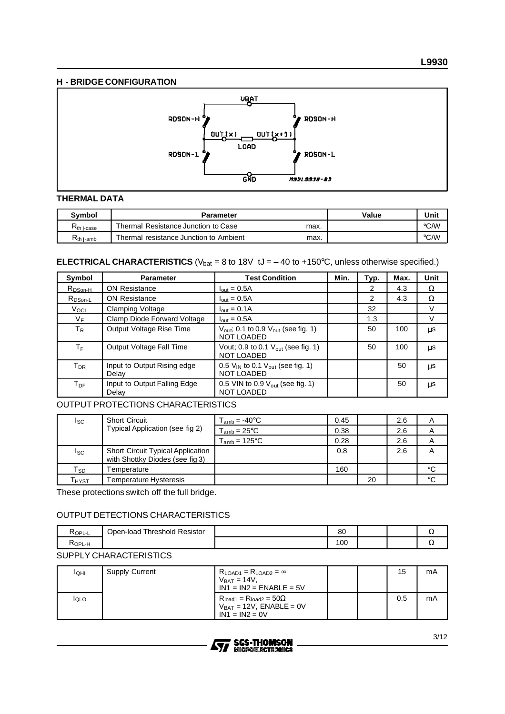# **H - BRIDGE CONFIGURATION**



#### **THERMAL DATA**

| <b>Symbol</b>     | <b>Parameter</b>                       |      | Value | Unit |
|-------------------|----------------------------------------|------|-------|------|
| <b>Kth j-case</b> | Thermal Resistance Junction to Case    | max. |       | °C/W |
| Kth i-amb         | Thermal resistance Junction to Ambient | max. |       | °C/W |

#### **ELECTRICAL CHARACTERISTICS** ( $V_{bat} = 8$  to 18V tJ =  $-40$  to +150°C, unless otherwise specified.)

| Symbol              | <b>Parameter</b>                      | <b>Test Condition</b>                                                            | Min. | Typ. | Max. | Unit |
|---------------------|---------------------------------------|----------------------------------------------------------------------------------|------|------|------|------|
| R <sub>DSon-H</sub> | <b>ON Resistance</b>                  | $I_{\text{out}} = 0.5A$                                                          |      | 2    | 4.3  | Ω    |
| $R_{DSon-L}$        | <b>ON Resistance</b>                  | $I_{\text{out}} = 0.5A$                                                          |      | 2    | 4.3  | Ω    |
| Vocl                | <b>Clamping Voltage</b>               | $I_{\text{out}} = 0.1A$                                                          |      | 32   |      | V    |
| $V_F$               | Clamp Diode Forward Voltage           | $I_{\text{out}} = 0.5A$                                                          |      | 1.3  |      | V    |
| $T_R$               | Output Voltage Rise Time              | $V_{\text{out}}$ ; 0.1 to 0.9 $V_{\text{out}}$ (see fig. 1)<br><b>NOT LOADED</b> |      | 50   | 100  | μs   |
| $T_F$               | <b>Output Voltage Fall Time</b>       | Vout; 0.9 to 0.1 $V_{\text{out}}$ (see fig. 1)<br><b>NOT LOADED</b>              |      | 50   | 100  | μs   |
| $T_{DR}$            | Input to Output Rising edge<br>Delay  | 0.5 $V_{\text{IN}}$ to 0.1 $V_{\text{out}}$ (see fig. 1)<br><b>NOT LOADED</b>    |      |      | 50   | μs   |
| $T_{\sf DF}$        | Input to Output Falling Edge<br>Delav | 0.5 VIN to 0.9 $V_{\text{out}}$ (see fig. 1)<br><b>NOT LOADED</b>                |      |      | 50   | μs   |

#### OUTPUT PROTECTIONS CHARACTERISTICS

| <sub>sc</sub>              | <b>Short Circuit</b>                                                        | $T_{amb} = -40^{\circ}$ C   | 0.45 |    | 2.6 | A           |
|----------------------------|-----------------------------------------------------------------------------|-----------------------------|------|----|-----|-------------|
|                            | Typical Application (see fig 2)                                             | $T_{amb} = 25^{\circ}C$     | 0.38 |    | 2.6 | A           |
|                            |                                                                             | $T_{amb}$ = 125 $\degree$ C | 0.28 |    | 2.6 | A           |
| $I_{SC}$                   | <b>Short Circuit Typical Application</b><br>with Shottky Diodes (see fig 3) |                             | 0.8  |    | 2.6 | A           |
| $\mathsf{T}_{\mathsf{SD}}$ | <sup>-</sup> emperature                                                     |                             | 160  |    |     | °C          |
| Гнүѕт                      | Temperature Hysteresis                                                      |                             |      | 20 |     | $^{\circ}C$ |

These protections switch off the full bridge.

# OUTPUT DETECTIONS CHARACTERISTICS

| <b>KOPL-L</b> | l Resistor<br>™hreshold<br>Open-load | 80  |  | ⊶  |
|---------------|--------------------------------------|-----|--|----|
| ≺ор∟-н        |                                      | 100 |  | ΑG |

# SUPPLY CHARACTERISTICS

| IQHI         | <b>Supply Current</b> | $R_{LOAD1} = R_{LOAD2} = \infty$<br>$V_{BAT} = 14V$<br>$IN1 = IN2 = ENABLE = 5V$        |  | 15  | mA |
|--------------|-----------------------|-----------------------------------------------------------------------------------------|--|-----|----|
| <b>I</b> QLO |                       | $R_{load1} = R_{load2} = 50\Omega$<br>$V_{BAT} = 12V$ , ENABLE = 0V<br>$IN1 = IN2 = 0V$ |  | 0.5 | mA |

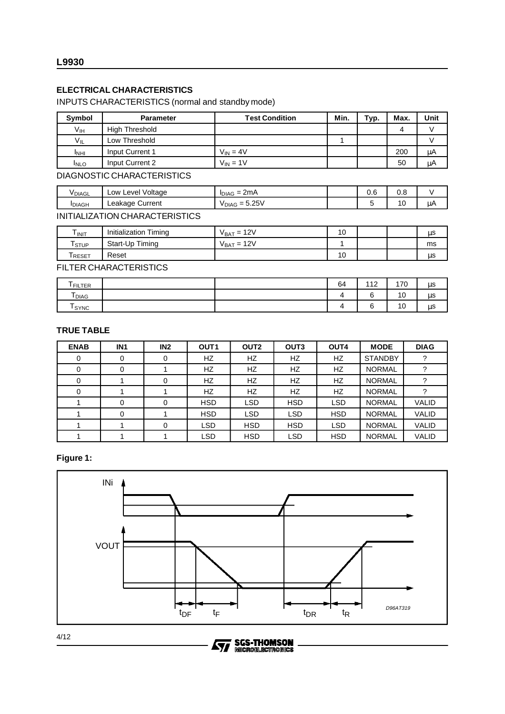# **ELECTRICAL CHARACTERISTICS**

# INPUTS CHARACTERISTICS (normal and standby mode)

| Symbol      | <b>Parameter</b>           | <b>Test Condition</b> | Min. | Typ. | Max. | Unit |
|-------------|----------------------------|-----------------------|------|------|------|------|
| Vıн         | High Threshold             |                       |      |      | 4    |      |
| $V_{IL}$    | Low Threshold              |                       |      |      |      |      |
| <b>INHI</b> | Input Current 1            | $V_{IN} = 4V$         |      |      | 200  | μA   |
| <b>INLO</b> | Input Current 2            | $V_{IN} = 1V$         |      |      | 50   | μA   |
|             | DIAGNOSTIC CHARACTERISTICS |                       |      |      |      |      |

| <b>VDIAGL</b>  | Voltage<br>Level<br>∟ow ' | $2m\Delta$<br>$IDIAG =$<br><b>ZIIIA</b>                | ~<br>v.u | v.o |        |
|----------------|---------------------------|--------------------------------------------------------|----------|-----|--------|
| <b>I</b> DIAGH | Current<br>∟eakage ′      | 5.25V<br>$\overline{\phantom{0}}$<br><sup>V</sup> DIAG |          | 10  | .<br>w |

#### INITIALIZATION CHARACTERISTICS

| INIT         | Timing<br>Initialization | 12V<br>V ват = | 10 |  | us |
|--------------|--------------------------|----------------|----|--|----|
| I STUP       | Start-Up Timing          | 12V<br>V ват = |    |  | ms |
| <b>RESET</b> | Reset                    |                | 10 |  | μs |

FILTER CHARACTERISTICS

| Tfilter           | 64 | 440<br>. | 170 | μs |
|-------------------|----|----------|-----|----|
| l <sub>DIAG</sub> |    | $\sim$   | 10  | μs |
| SYNC              |    | ⌒        | 10  | μS |

# **TRUE TABLE**

| <b>ENAB</b> | IN <sub>1</sub> | IN2      | OUT <sub>1</sub> | OUT <sub>2</sub> | OUT <sub>3</sub> | OUT4       | <b>MODE</b>    | <b>DIAG</b>  |
|-------------|-----------------|----------|------------------|------------------|------------------|------------|----------------|--------------|
| 0           | 0               | 0        | HZ.              | HZ.              | HZ               | HZ         | <b>STANDBY</b> |              |
|             | 0               |          | HZ.              | <b>HZ</b>        | HZ.              | HZ         | <b>NORMAL</b>  |              |
| 0           |                 | 0        | HZ.              | HZ.              | <b>HZ</b>        | HZ         | <b>NORMAL</b>  |              |
|             |                 |          | <b>HZ</b>        | HZ               | <b>HZ</b>        | HZ         | <b>NORMAL</b>  |              |
|             | $\Omega$        | $\Omega$ | <b>HSD</b>       | <b>LSD</b>       | <b>HSD</b>       | <b>LSD</b> | <b>NORMAL</b>  | <b>VALID</b> |
|             | 0               |          | <b>HSD</b>       | <b>LSD</b>       | <b>LSD</b>       | <b>HSD</b> | <b>NORMAL</b>  | <b>VALID</b> |
|             |                 | 0        | <b>LSD</b>       | <b>HSD</b>       | <b>HSD</b>       | <b>LSD</b> | <b>NORMAL</b>  | <b>VALID</b> |
|             |                 |          | <b>LSD</b>       | <b>HSD</b>       | LSD.             | <b>HSD</b> | <b>NORMAL</b>  | <b>VALID</b> |

# **Figure 1:**



勾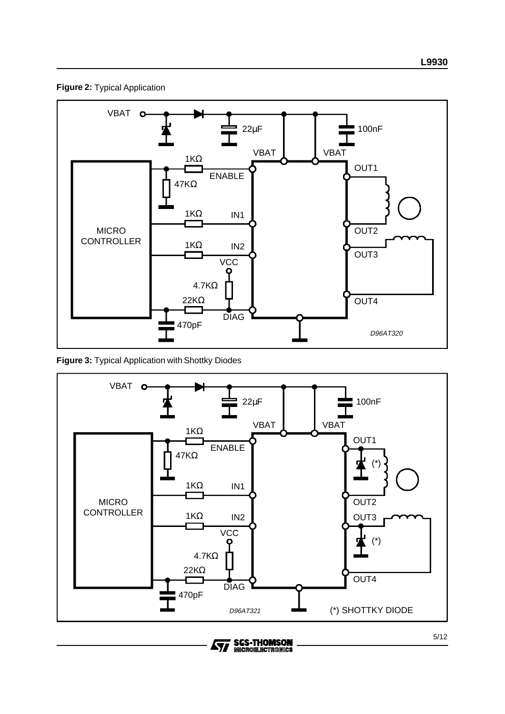



**Figure 3:** Typical Application with Shottky Diodes

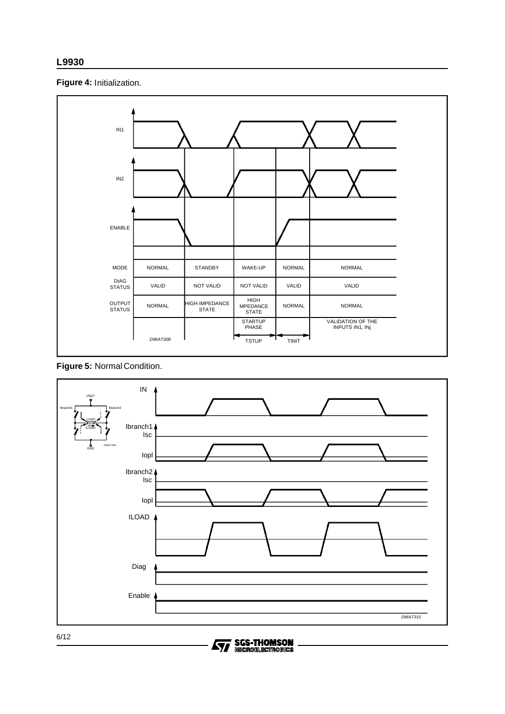# **Figure 4:** Initialization.



# **Figure 5:** Normal Condition.

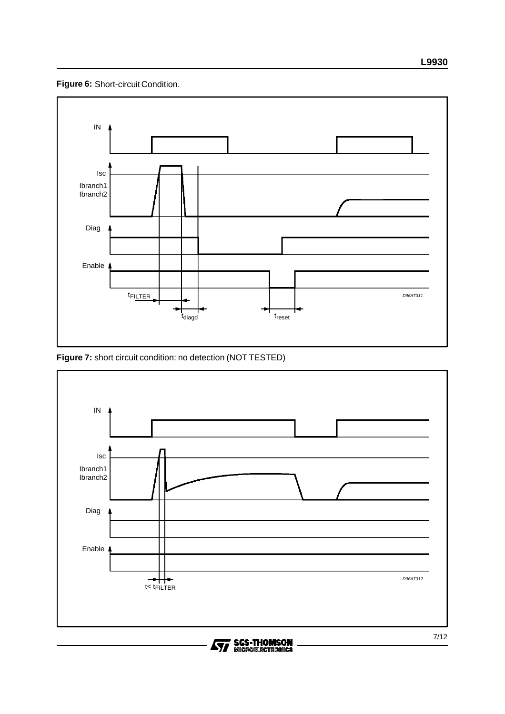**Figure 6:** Short-circuit Condition.



**Figure 7:** short circuit condition: no detection (NOT TESTED)



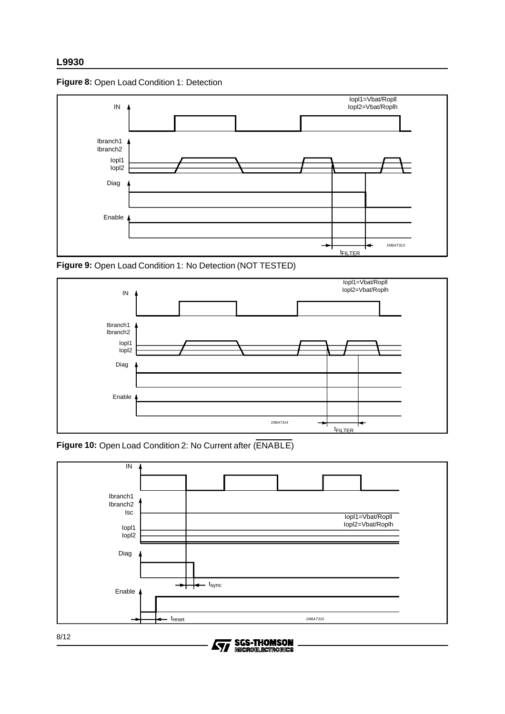



**Figure 9:** Open Load Condition 1: No Detection (NOT TESTED)



**Figure 10:** Open Load Condition 2: No Current after (ENABLE)





8/12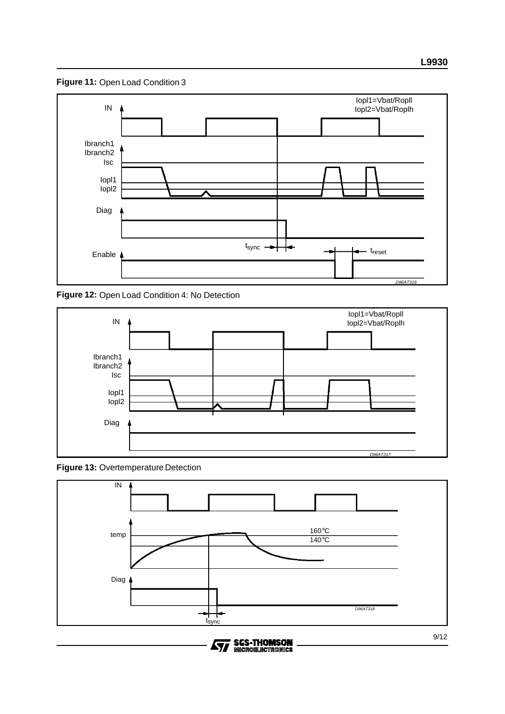**Figure 11:** Open Load Condition 3



**Figure 12:** Open Load Condition 4: No Detection







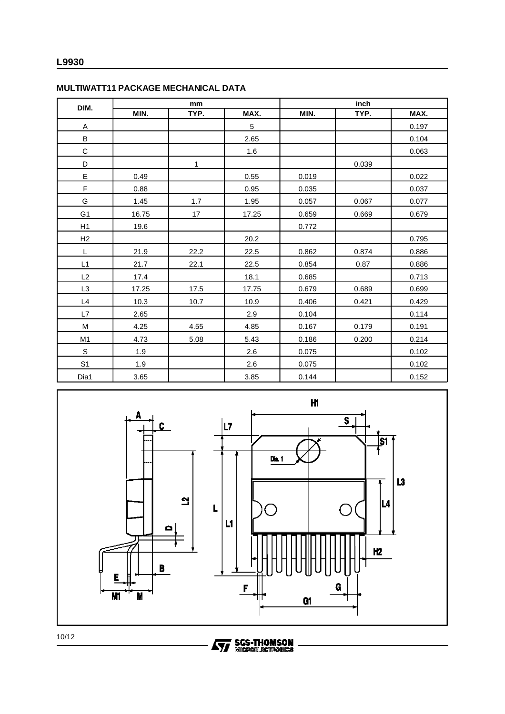| DIM.           | mm    |              |                | inch  |       |       |
|----------------|-------|--------------|----------------|-------|-------|-------|
|                | MIN.  | TYP.         | MAX.           | MIN.  | TYP.  | MAX.  |
| A              |       |              | $\overline{5}$ |       |       | 0.197 |
| B              |       |              | 2.65           |       |       | 0.104 |
| $\mathsf C$    |       |              | 1.6            |       |       | 0.063 |
| D              |       | $\mathbf{1}$ |                |       | 0.039 |       |
| E              | 0.49  |              | 0.55           | 0.019 |       | 0.022 |
| F              | 0.88  |              | 0.95           | 0.035 |       | 0.037 |
| G              | 1.45  | 1.7          | 1.95           | 0.057 | 0.067 | 0.077 |
| G <sub>1</sub> | 16.75 | 17           | 17.25          | 0.659 | 0.669 | 0.679 |
| H1             | 19.6  |              |                | 0.772 |       |       |
| H2             |       |              | 20.2           |       |       | 0.795 |
| L              | 21.9  | 22.2         | 22.5           | 0.862 | 0.874 | 0.886 |
| L1             | 21.7  | 22.1         | 22.5           | 0.854 | 0.87  | 0.886 |
| L2             | 17.4  |              | 18.1           | 0.685 |       | 0.713 |
| L <sub>3</sub> | 17.25 | 17.5         | 17.75          | 0.679 | 0.689 | 0.699 |
| L4             | 10.3  | 10.7         | 10.9           | 0.406 | 0.421 | 0.429 |
| L7             | 2.65  |              | 2.9            | 0.104 |       | 0.114 |
| M              | 4.25  | 4.55         | 4.85           | 0.167 | 0.179 | 0.191 |
| M1             | 4.73  | 5.08         | 5.43           | 0.186 | 0.200 | 0.214 |
| $\mathbf S$    | 1.9   |              | 2.6            | 0.075 |       | 0.102 |
| S <sub>1</sub> | 1.9   |              | 2.6            | 0.075 |       | 0.102 |
| Dia1           | 3.65  |              | 3.85           | 0.144 |       | 0.152 |

#### **MULTIWATT11 PACKAGE MECHANICAL DATA**



10/12

**Ayy SGS-THOMSON**<br>
MICROELECTRODUCS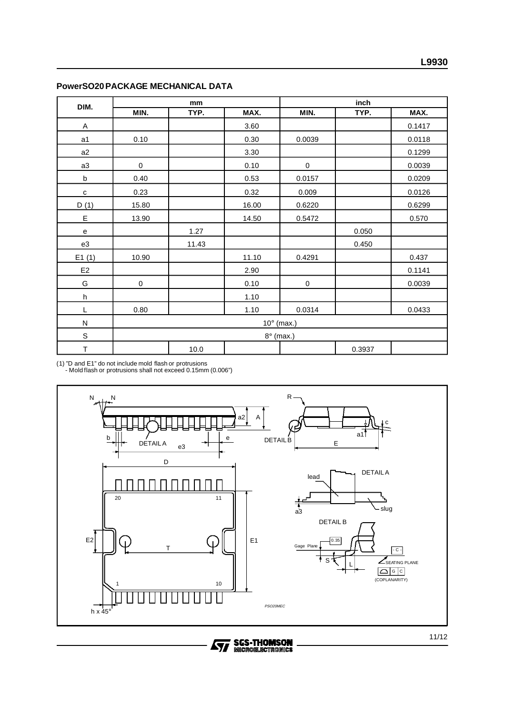| DIM.                      | mm          |       |       | inch      |        |        |  |  |
|---------------------------|-------------|-------|-------|-----------|--------|--------|--|--|
|                           | MIN.        | TYP.  | MAX.  | MIN.      | TYP.   | MAX.   |  |  |
| $\boldsymbol{\mathsf{A}}$ |             |       | 3.60  |           |        | 0.1417 |  |  |
| a <sub>1</sub>            | 0.10        |       | 0.30  | 0.0039    |        | 0.0118 |  |  |
| a2                        |             |       | 3.30  |           |        | 0.1299 |  |  |
| a3                        | $\pmb{0}$   |       | 0.10  | $\pmb{0}$ |        | 0.0039 |  |  |
| $\sf b$                   | 0.40        |       | 0.53  | 0.0157    |        | 0.0209 |  |  |
| $\mathbf c$               | 0.23        |       | 0.32  | 0.009     |        | 0.0126 |  |  |
| D(1)                      | 15.80       |       | 16.00 | 0.6220    |        | 0.6299 |  |  |
| E                         | 13.90       |       | 14.50 | 0.5472    |        | 0.570  |  |  |
| $\mathbf{e}$              |             | 1.27  |       |           | 0.050  |        |  |  |
| e3                        |             | 11.43 |       |           | 0.450  |        |  |  |
| E1(1)                     | 10.90       |       | 11.10 | 0.4291    |        | 0.437  |  |  |
| E <sub>2</sub>            |             |       | 2.90  |           |        | 0.1141 |  |  |
| G                         | $\pmb{0}$   |       | 0.10  | $\pmb{0}$ |        | 0.0039 |  |  |
| h                         |             |       | 1.10  |           |        |        |  |  |
| L                         | 0.80        |       | 1.10  | 0.0314    |        | 0.0433 |  |  |
| $\mathsf{N}$              | 10° (max.)  |       |       |           |        |        |  |  |
| $\mathbb S$               | $8°$ (max.) |       |       |           |        |        |  |  |
| $\mathsf T$               |             | 10.0  |       |           | 0.3937 |        |  |  |

#### **PowerSO20 PACKAGE MECHANICAL DATA**

(1) "D and E1" do not include mold flash or protrusions - Mold flash or protrusions shall not exceed 0.15mm (0.006")